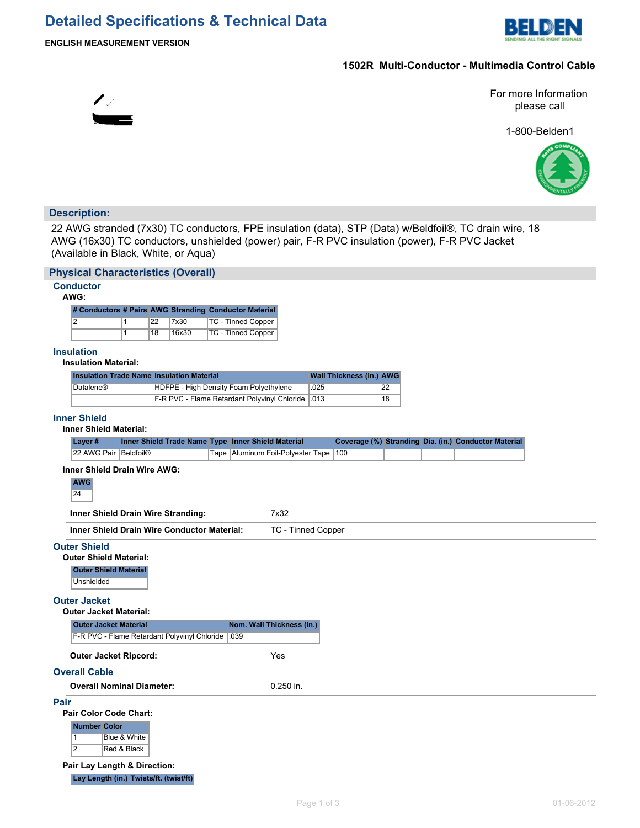## **Detailed Specifications & Technical Data**



 $\mathscr{L}_{\mathscr{L}_{\mathbb{C}}}$ 

## **1502R Multi-Conductor - Multimedia Control Cable**

For more Information please call

1-800-Belden1



## **Description:**

22 AWG stranded (7x30) TC conductors, FPE insulation (data), STP (Data) w/Beldfoil®, TC drain wire, 18 AWG (16x30) TC conductors, unshielded (power) pair, F-R PVC insulation (power), F-R PVC Jacket (Available in Black, White, or Aqua)

|             | <b>Physical Characteristics (Overall)</b>                                                                                                                                                                                                                                                                                              |                             |                 |       |                                                       |                    |             |                                 |    |  |                                                      |            |
|-------------|----------------------------------------------------------------------------------------------------------------------------------------------------------------------------------------------------------------------------------------------------------------------------------------------------------------------------------------|-----------------------------|-----------------|-------|-------------------------------------------------------|--------------------|-------------|---------------------------------|----|--|------------------------------------------------------|------------|
|             | <b>Conductor</b><br>AWG:                                                                                                                                                                                                                                                                                                               |                             |                 |       |                                                       |                    |             |                                 |    |  |                                                      |            |
|             |                                                                                                                                                                                                                                                                                                                                        |                             |                 |       | # Conductors # Pairs AWG Stranding Conductor Material |                    |             |                                 |    |  |                                                      |            |
|             | $\overline{2}$                                                                                                                                                                                                                                                                                                                         | $\mathbf{1}$                | 22              | 7x30  | TC - Tinned Copper                                    |                    |             |                                 |    |  |                                                      |            |
|             |                                                                                                                                                                                                                                                                                                                                        | $\overline{1}$              | $\overline{18}$ | 16x30 | <b>TC - Tinned Copper</b>                             |                    |             |                                 |    |  |                                                      |            |
|             | <b>Insulation</b><br><b>Insulation Material:</b>                                                                                                                                                                                                                                                                                       |                             |                 |       |                                                       |                    |             |                                 |    |  |                                                      |            |
|             | <b>Insulation Trade Name Insulation Material</b>                                                                                                                                                                                                                                                                                       |                             |                 |       |                                                       |                    |             | <b>Wall Thickness (in.) AWG</b> |    |  |                                                      |            |
|             | Datalene®                                                                                                                                                                                                                                                                                                                              |                             |                 |       | HDFPE - High Density Foam Polyethylene                |                    | .025        |                                 | 22 |  |                                                      |            |
|             |                                                                                                                                                                                                                                                                                                                                        |                             |                 |       | F-R PVC - Flame Retardant Polyvinyl Chloride          |                    | .013        |                                 | 18 |  |                                                      |            |
|             | <b>Inner Shield</b><br><b>Inner Shield Material:</b>                                                                                                                                                                                                                                                                                   |                             |                 |       |                                                       |                    |             |                                 |    |  |                                                      |            |
|             | Layer#                                                                                                                                                                                                                                                                                                                                 |                             |                 |       | Inner Shield Trade Name Type Inner Shield Material    |                    |             |                                 |    |  | Coverage (%) Stranding Dia. (in.) Conductor Material |            |
|             | 22 AWG Pair Beldfoil®                                                                                                                                                                                                                                                                                                                  |                             |                 |       | Tape   Aluminum Foil-Polyester Tape                   |                    |             | 100                             |    |  |                                                      |            |
|             | Inner Shield Drain Wire Stranding:<br><b>Inner Shield Drain Wire Conductor Material:</b><br><b>Outer Shield</b><br><b>Outer Shield Material:</b><br><b>Outer Shield Material</b><br>Unshielded<br><b>Outer Jacket</b><br><b>Outer Jacket Material:</b><br><b>Outer Jacket Material</b><br>F-R PVC - Flame Retardant Polyvinyl Chloride |                             |                 |       | 7x32<br>Nom. Wall Thickness (in.)<br>.039             | TC - Tinned Copper |             |                                 |    |  |                                                      |            |
|             | <b>Outer Jacket Ripcord:</b>                                                                                                                                                                                                                                                                                                           |                             |                 |       | Yes                                                   |                    |             |                                 |    |  |                                                      |            |
|             | <b>Overall Cable</b>                                                                                                                                                                                                                                                                                                                   |                             |                 |       |                                                       |                    |             |                                 |    |  |                                                      |            |
|             | <b>Overall Nominal Diameter:</b>                                                                                                                                                                                                                                                                                                       |                             |                 |       |                                                       | 0.250 in.          |             |                                 |    |  |                                                      |            |
| <b>Pair</b> | <b>Pair Color Code Chart:</b><br><b>Number Color</b><br>$\overline{1}$<br>$\overline{2}$<br>Pair Lay Length & Direction:<br>Lay Length (in.) Twists/ft. (twist/ft)                                                                                                                                                                     | Blue & White<br>Red & Black |                 |       |                                                       |                    | Page 1 of 3 |                                 |    |  |                                                      | 01-06-2012 |
|             |                                                                                                                                                                                                                                                                                                                                        |                             |                 |       |                                                       |                    |             |                                 |    |  |                                                      |            |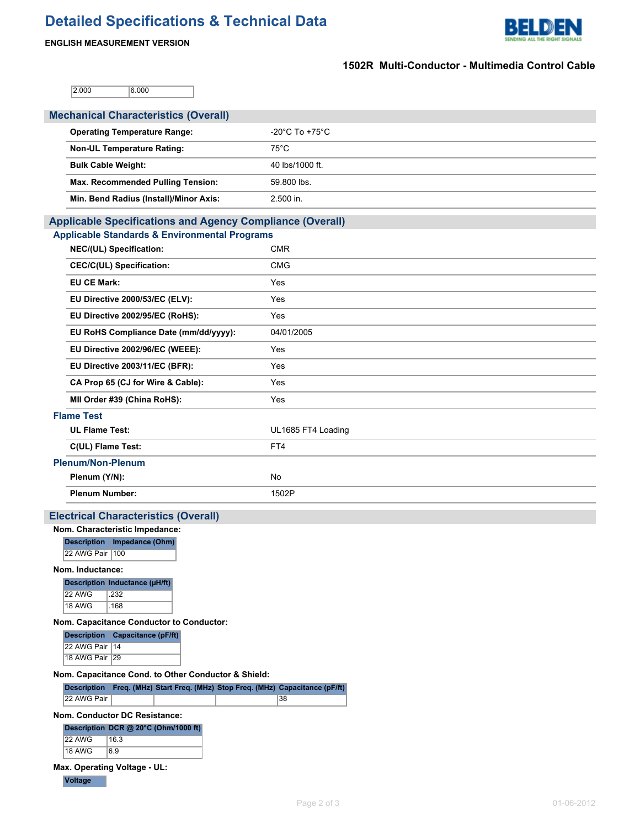# **Detailed Specifications & Technical Data**





### **1502R Multi-Conductor - Multimedia Control Cable**

2.000 6.000

| <b>Mechanical Characteristics (Overall)</b>                                    |                    |  |  |  |  |  |  |  |
|--------------------------------------------------------------------------------|--------------------|--|--|--|--|--|--|--|
| <b>Operating Temperature Range:</b>                                            | -20°C To +75°C     |  |  |  |  |  |  |  |
| <b>Non-UL Temperature Rating:</b>                                              | $75^{\circ}$ C     |  |  |  |  |  |  |  |
| <b>Bulk Cable Weight:</b>                                                      | 40 lbs/1000 ft.    |  |  |  |  |  |  |  |
|                                                                                |                    |  |  |  |  |  |  |  |
| Max. Recommended Pulling Tension:                                              | 59.800 lbs.        |  |  |  |  |  |  |  |
| Min. Bend Radius (Install)/Minor Axis:                                         | 2.500 in.          |  |  |  |  |  |  |  |
| <b>Applicable Specifications and Agency Compliance (Overall)</b>               |                    |  |  |  |  |  |  |  |
| <b>Applicable Standards &amp; Environmental Programs</b>                       |                    |  |  |  |  |  |  |  |
| NEC/(UL) Specification:                                                        | <b>CMR</b>         |  |  |  |  |  |  |  |
| <b>CEC/C(UL) Specification:</b>                                                | <b>CMG</b>         |  |  |  |  |  |  |  |
| <b>EU CE Mark:</b>                                                             | Yes                |  |  |  |  |  |  |  |
| EU Directive 2000/53/EC (ELV):                                                 | Yes                |  |  |  |  |  |  |  |
| EU Directive 2002/95/EC (RoHS):                                                | Yes                |  |  |  |  |  |  |  |
| EU RoHS Compliance Date (mm/dd/yyyy):                                          | 04/01/2005         |  |  |  |  |  |  |  |
| EU Directive 2002/96/EC (WEEE):                                                | Yes                |  |  |  |  |  |  |  |
| EU Directive 2003/11/EC (BFR):                                                 | Yes                |  |  |  |  |  |  |  |
| CA Prop 65 (CJ for Wire & Cable):                                              | Yes                |  |  |  |  |  |  |  |
| MII Order #39 (China RoHS):                                                    | Yes                |  |  |  |  |  |  |  |
| <b>Flame Test</b>                                                              |                    |  |  |  |  |  |  |  |
| <b>UL Flame Test:</b>                                                          | UL1685 FT4 Loading |  |  |  |  |  |  |  |
| C(UL) Flame Test:                                                              | FT4                |  |  |  |  |  |  |  |
| <b>Plenum/Non-Plenum</b>                                                       |                    |  |  |  |  |  |  |  |
| Plenum (Y/N):                                                                  | <b>No</b>          |  |  |  |  |  |  |  |
| <b>Plenum Number:</b>                                                          | 1502P              |  |  |  |  |  |  |  |
| <b>Electrical Characteristics (Overall)</b>                                    |                    |  |  |  |  |  |  |  |
| Nom. Characteristic Impedance:                                                 |                    |  |  |  |  |  |  |  |
| Description   Impedance (Ohm)                                                  |                    |  |  |  |  |  |  |  |
| 22 AWG Pair 100                                                                |                    |  |  |  |  |  |  |  |
| Nom. Inductance:                                                               |                    |  |  |  |  |  |  |  |
| Description Inductance (µH/ft)<br>22 AWG<br>.232                               |                    |  |  |  |  |  |  |  |
| 18 AWG<br>.168                                                                 |                    |  |  |  |  |  |  |  |
| Nom. Capacitance Conductor to Conductor:                                       |                    |  |  |  |  |  |  |  |
| Description Capacitance (pF/ft)                                                |                    |  |  |  |  |  |  |  |
| 22 AWG Pair   14<br>18 AWG Pair 29                                             |                    |  |  |  |  |  |  |  |
| Nom. Capacitance Cond. to Other Conductor & Shield:                            |                    |  |  |  |  |  |  |  |
| Description Freq. (MHz) Start Freq. (MHz) Stop Freq. (MHz) Capacitance (pF/ft) |                    |  |  |  |  |  |  |  |
| 22 AWG Pair<br>38                                                              |                    |  |  |  |  |  |  |  |
| Nom. Conductor DC Resistance:                                                  |                    |  |  |  |  |  |  |  |
| Description DCR @ 20°C (Ohm/1000 ft)<br>22 AWG<br>16.3                         |                    |  |  |  |  |  |  |  |
| 18 AWG<br>6.9                                                                  |                    |  |  |  |  |  |  |  |

### **Max. Operating Voltage - UL:**

**Voltage**